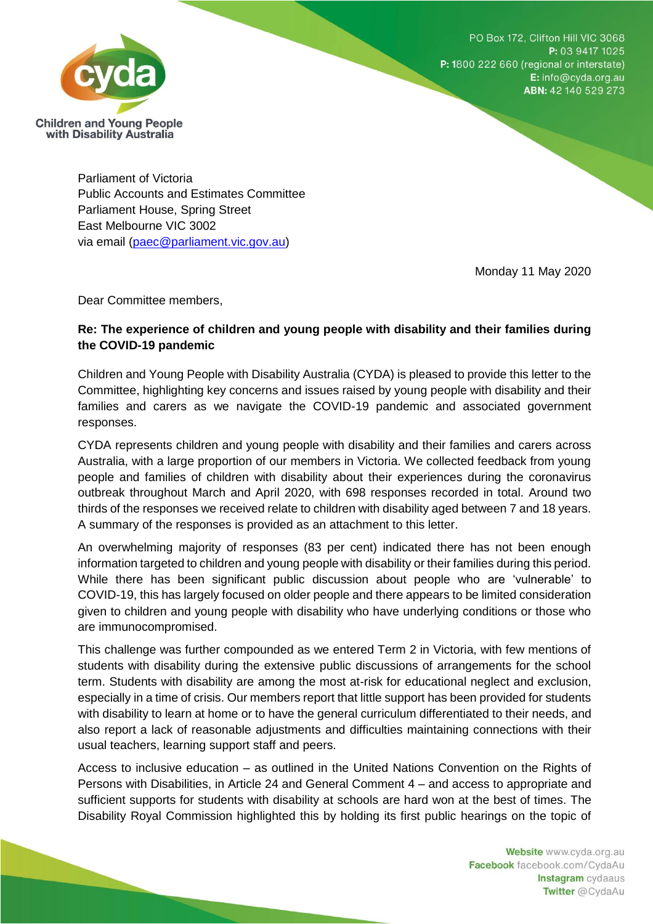PO Box 172, Clifton Hill VIC 3068 P: 03 9417 1025 P: 1800 222 660 (regional or interstate) E: info@cyda.org.au ABN: 42 140 529 273



Parliament of Victoria Public Accounts and Estimates Committee Parliament House, Spring Street East Melbourne VIC 3002 via email [\(paec@parliament.vic.gov.au\)](mailto:paec@parliament.vic.gov.au)

Monday 11 May 2020

Dear Committee members,

## **Re: The experience of children and young people with disability and their families during the COVID-19 pandemic**

Children and Young People with Disability Australia (CYDA) is pleased to provide this letter to the Committee, highlighting key concerns and issues raised by young people with disability and their families and carers as we navigate the COVID-19 pandemic and associated government responses.

CYDA represents children and young people with disability and their families and carers across Australia, with a large proportion of our members in Victoria. We collected feedback from young people and families of children with disability about their experiences during the coronavirus outbreak throughout March and April 2020, with 698 responses recorded in total. Around two thirds of the responses we received relate to children with disability aged between 7 and 18 years. A summary of the responses is provided as an attachment to this letter.

An overwhelming majority of responses (83 per cent) indicated there has not been enough information targeted to children and young people with disability or their families during this period. While there has been significant public discussion about people who are 'vulnerable' to COVID-19, this has largely focused on older people and there appears to be limited consideration given to children and young people with disability who have underlying conditions or those who are immunocompromised.

This challenge was further compounded as we entered Term 2 in Victoria, with few mentions of students with disability during the extensive public discussions of arrangements for the school term. Students with disability are among the most at-risk for educational neglect and exclusion, especially in a time of crisis. Our members report that little support has been provided for students with disability to learn at home or to have the general curriculum differentiated to their needs, and also report a lack of reasonable adjustments and difficulties maintaining connections with their usual teachers, learning support staff and peers.

Access to inclusive education – as outlined in the United Nations Convention on the Rights of Persons with Disabilities, in Article 24 and General Comment 4 – and access to appropriate and sufficient supports for students with disability at schools are hard won at the best of times. The Disability Royal Commission highlighted this by holding its first public hearings on the topic of